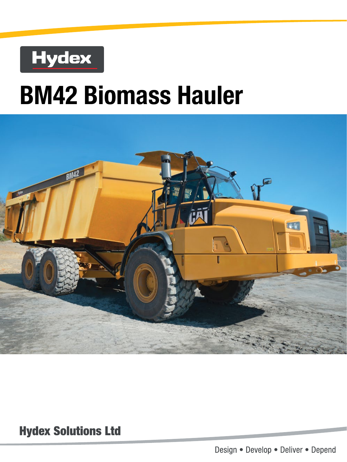## **Hydex**

# **BM42 Biomass Hauler**



**Hydex Solutions Ltd** 

Design . Develop . Deliver . Depend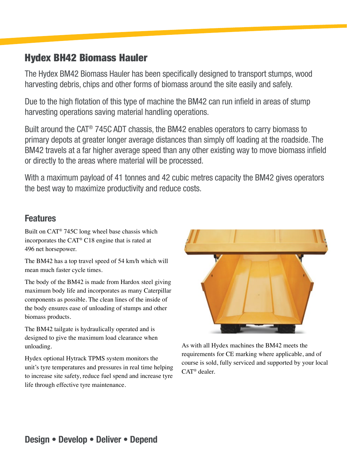## Hydex BH42 Biomass Hauler

The Hydex BM42 Biomass Hauler has been specifically designed to transport stumps, wood harvesting debris, chips and other forms of biomass around the site easily and safely.

Due to the high flotation of this type of machine the BM42 can run infield in areas of stump harvesting operations saving material handling operations.

Built around the CAT® 745C ADT chassis, the BM42 enables operators to carry biomass to primary depots at greater longer average distances than simply off loading at the roadside. The BM42 travels at a far higher average speed than any other existing way to move biomass infield or directly to the areas where material will be processed.

With a maximum payload of 41 tonnes and 42 cubic metres capacity the BM42 gives operators the best way to maximize productivity and reduce costs.

## Features

Built on CAT® 745C long wheel base chassis which incorporates the CAT® C18 engine that is rated at 496 net horsepower.

The BM42 has a top travel speed of 54 km/h which will mean much faster cycle times.

The body of the BM42 is made from Hardox steel giving maximum body life and incorporates as many Caterpillar components as possible. The clean lines of the inside of the body ensures ease of unloading of stumps and other biomass products.

The BM42 tailgate is hydraulically operated and is designed to give the maximum load clearance when unloading.

Hydex optional Hytrack TPMS system monitors the unit's tyre temperatures and pressures in real time helping to increase site safety, reduce fuel spend and increase tyre life through effective tyre maintenance.



As with all Hydex machines the BM42 meets the requirements for CE marking where applicable, and of course is sold, fully serviced and supported by your local CAT® dealer.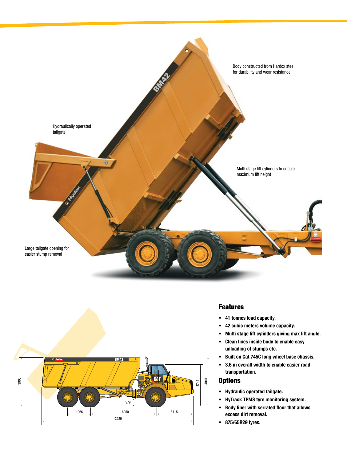



### Features

- 41 tonnes load capacity.
- 42 cubic meters volume capacity.
- Multi stage lift cylinders giving max lift angle.
- Clean lines inside body to enable easy unloading of stumps etc.
- Built on Cat 745C long wheel base chassis.
- 3.6 m overall width to enable easier road transportation.

#### **Options**

- Hydraulic operated tailgate.
- HyTrack TPMS tyre monitoring system.
- Body liner with serrated floor that allows excess dirt removal.
- 875/65R29 tyres.